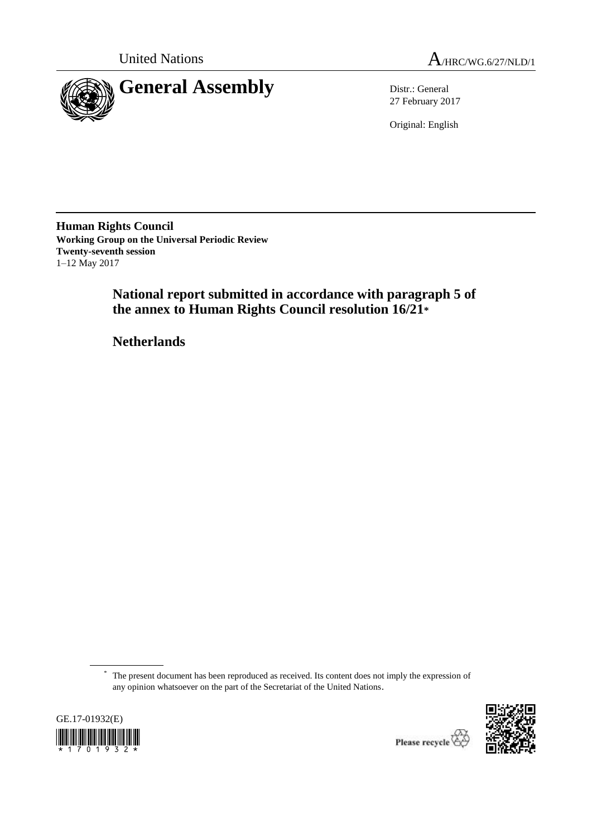



27 February 2017

Original: English

**Human Rights Council Working Group on the Universal Periodic Review Twenty-seventh session** 1–12 May 2017

> **National report submitted in accordance with paragraph 5 of the annex to Human Rights Council resolution 16/21\***

**Netherlands**

<sup>\*</sup> The present document has been reproduced as received. Its content does not imply the expression of any opinion whatsoever on the part of the Secretariat of the United Nations.





Please recycle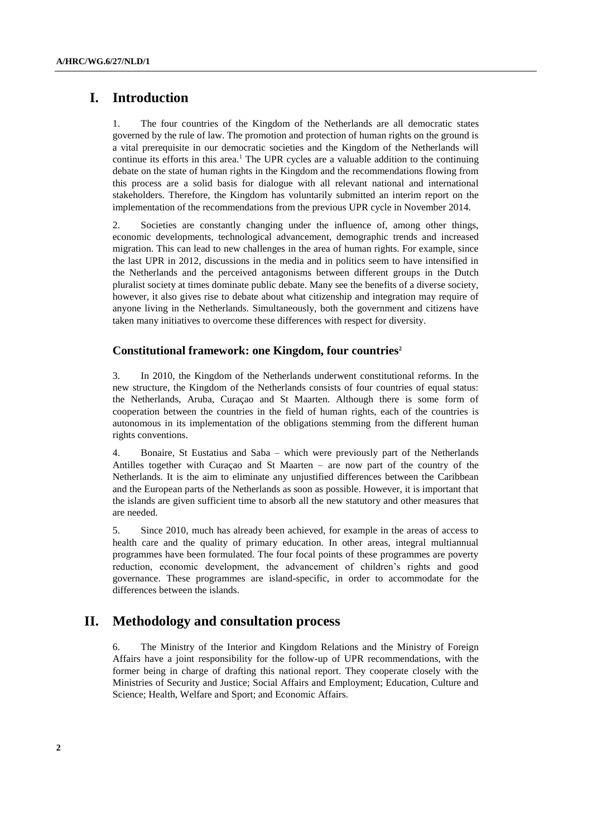# **I. Introduction**

1. The four countries of the Kingdom of the Netherlands are all democratic states governed by the rule of law. The promotion and protection of human rights on the ground is a vital prerequisite in our democratic societies and the Kingdom of the Netherlands will continue its efforts in this area.<sup>1</sup> The UPR cycles are a valuable addition to the continuing debate on the state of human rights in the Kingdom and the recommendations flowing from this process are a solid basis for dialogue with all relevant national and international stakeholders. Therefore, the Kingdom has voluntarily submitted an interim report on the implementation of the recommendations from the previous UPR cycle in November 2014.

2. Societies are constantly changing under the influence of, among other things, economic developments, technological advancement, demographic trends and increased migration. This can lead to new challenges in the area of human rights. For example, since the last UPR in 2012, discussions in the media and in politics seem to have intensified in the Netherlands and the perceived antagonisms between different groups in the Dutch pluralist society at times dominate public debate. Many see the benefits of a diverse society, however, it also gives rise to debate about what citizenship and integration may require of anyone living in the Netherlands. Simultaneously, both the government and citizens have taken many initiatives to overcome these differences with respect for diversity.

### **Constitutional framework: one Kingdom, four countries<sup>2</sup>**

3. In 2010, the Kingdom of the Netherlands underwent constitutional reforms. In the new structure, the Kingdom of the Netherlands consists of four countries of equal status: the Netherlands, Aruba, Curaçao and St Maarten. Although there is some form of cooperation between the countries in the field of human rights, each of the countries is autonomous in its implementation of the obligations stemming from the different human rights conventions.

4. Bonaire, St Eustatius and Saba – which were previously part of the Netherlands Antilles together with Curaçao and St Maarten – are now part of the country of the Netherlands. It is the aim to eliminate any unjustified differences between the Caribbean and the European parts of the Netherlands as soon as possible. However, it is important that the islands are given sufficient time to absorb all the new statutory and other measures that are needed.

5. Since 2010, much has already been achieved, for example in the areas of access to health care and the quality of primary education. In other areas, integral multiannual programmes have been formulated. The four focal points of these programmes are poverty reduction, economic development, the advancement of children's rights and good governance. These programmes are island-specific, in order to accommodate for the differences between the islands.

# **II. Methodology and consultation process**

6. The Ministry of the Interior and Kingdom Relations and the Ministry of Foreign Affairs have a joint responsibility for the follow-up of UPR recommendations, with the former being in charge of drafting this national report. They cooperate closely with the Ministries of Security and Justice; Social Affairs and Employment; Education, Culture and Science; Health, Welfare and Sport; and Economic Affairs.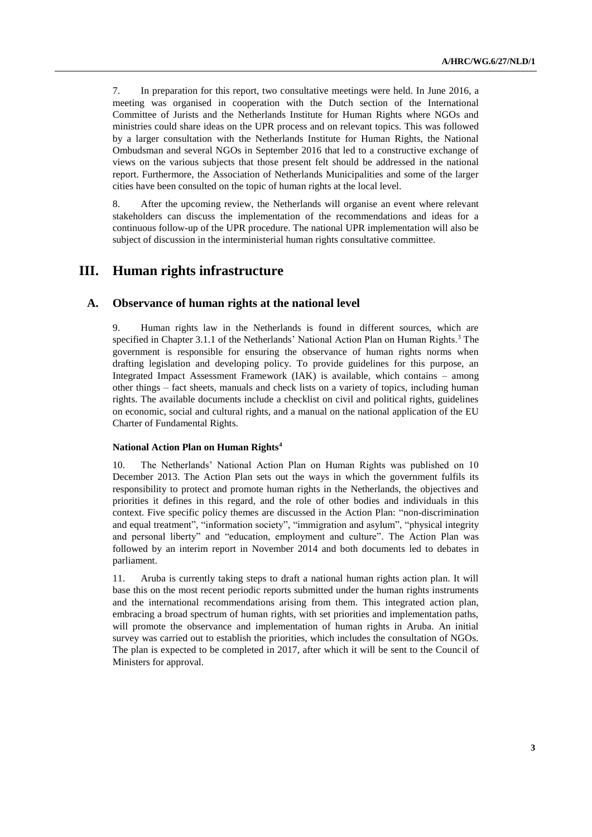7. In preparation for this report, two consultative meetings were held. In June 2016, a meeting was organised in cooperation with the Dutch section of the International Committee of Jurists and the Netherlands Institute for Human Rights where NGOs and ministries could share ideas on the UPR process and on relevant topics. This was followed by a larger consultation with the Netherlands Institute for Human Rights, the National Ombudsman and several NGOs in September 2016 that led to a constructive exchange of views on the various subjects that those present felt should be addressed in the national report. Furthermore, the Association of Netherlands Municipalities and some of the larger cities have been consulted on the topic of human rights at the local level.

8. After the upcoming review, the Netherlands will organise an event where relevant stakeholders can discuss the implementation of the recommendations and ideas for a continuous follow-up of the UPR procedure. The national UPR implementation will also be subject of discussion in the interministerial human rights consultative committee.

# **III. Human rights infrastructure**

### **A. Observance of human rights at the national level**

9. Human rights law in the Netherlands is found in different sources, which are specified in Chapter 3.1.1 of the Netherlands' National Action Plan on Human Rights.<sup>3</sup> The government is responsible for ensuring the observance of human rights norms when drafting legislation and developing policy. To provide guidelines for this purpose, an Integrated Impact Assessment Framework (IAK) is available, which contains – among other things – fact sheets, manuals and check lists on a variety of topics, including human rights. The available documents include a checklist on civil and political rights, guidelines on economic, social and cultural rights, and a manual on the national application of the EU Charter of Fundamental Rights.

#### **National Action Plan on Human Rights<sup>4</sup>**

10. The Netherlands' National Action Plan on Human Rights was published on 10 December 2013. The Action Plan sets out the ways in which the government fulfils its responsibility to protect and promote human rights in the Netherlands, the objectives and priorities it defines in this regard, and the role of other bodies and individuals in this context. Five specific policy themes are discussed in the Action Plan: "non-discrimination and equal treatment", "information society", "immigration and asylum", "physical integrity and personal liberty" and "education, employment and culture". The Action Plan was followed by an interim report in November 2014 and both documents led to debates in parliament.

11. Aruba is currently taking steps to draft a national human rights action plan. It will base this on the most recent periodic reports submitted under the human rights instruments and the international recommendations arising from them. This integrated action plan, embracing a broad spectrum of human rights, with set priorities and implementation paths, will promote the observance and implementation of human rights in Aruba. An initial survey was carried out to establish the priorities, which includes the consultation of NGOs. The plan is expected to be completed in 2017, after which it will be sent to the Council of Ministers for approval.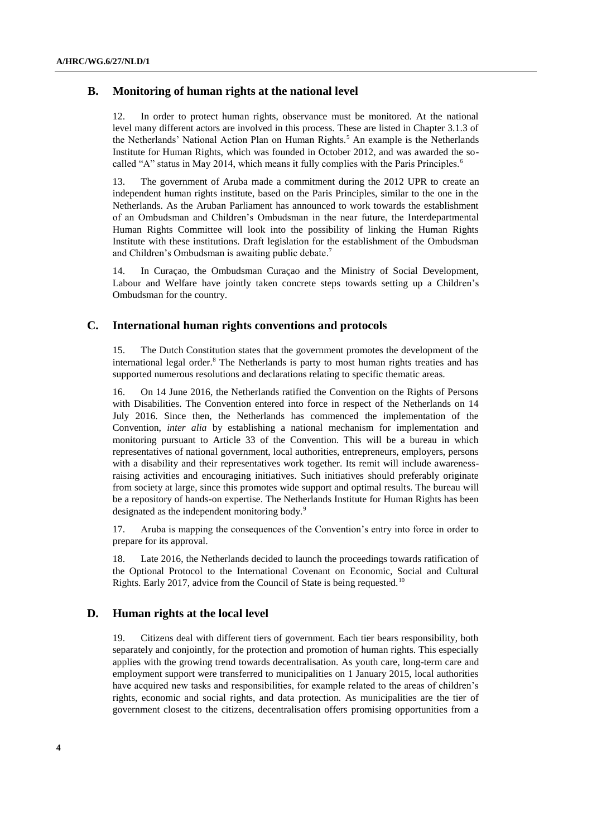# **B. Monitoring of human rights at the national level**

12. In order to protect human rights, observance must be monitored. At the national level many different actors are involved in this process. These are listed in Chapter 3.1.3 of the Netherlands' National Action Plan on Human Rights.<sup>5</sup> An example is the Netherlands Institute for Human Rights, which was founded in October 2012, and was awarded the socalled "A" status in May 2014, which means it fully complies with the Paris Principles.<sup>6</sup>

13. The government of Aruba made a commitment during the 2012 UPR to create an independent human rights institute, based on the Paris Principles, similar to the one in the Netherlands. As the Aruban Parliament has announced to work towards the establishment of an Ombudsman and Children's Ombudsman in the near future, the Interdepartmental Human Rights Committee will look into the possibility of linking the Human Rights Institute with these institutions. Draft legislation for the establishment of the Ombudsman and Children's Ombudsman is awaiting public debate.<sup>7</sup>

14. In Curaçao, the Ombudsman Curaçao and the Ministry of Social Development, Labour and Welfare have jointly taken concrete steps towards setting up a Children's Ombudsman for the country.

# **C. International human rights conventions and protocols**

15. The Dutch Constitution states that the government promotes the development of the international legal order. $8$  The Netherlands is party to most human rights treaties and has supported numerous resolutions and declarations relating to specific thematic areas.

16. On 14 June 2016, the Netherlands ratified the Convention on the Rights of Persons with Disabilities. The Convention entered into force in respect of the Netherlands on 14 July 2016. Since then, the Netherlands has commenced the implementation of the Convention, *inter alia* by establishing a national mechanism for implementation and monitoring pursuant to Article 33 of the Convention. This will be a bureau in which representatives of national government, local authorities, entrepreneurs, employers, persons with a disability and their representatives work together. Its remit will include awarenessraising activities and encouraging initiatives. Such initiatives should preferably originate from society at large, since this promotes wide support and optimal results. The bureau will be a repository of hands-on expertise. The Netherlands Institute for Human Rights has been designated as the independent monitoring body.<sup>9</sup>

17. Aruba is mapping the consequences of the Convention's entry into force in order to prepare for its approval.

18. Late 2016, the Netherlands decided to launch the proceedings towards ratification of the Optional Protocol to the International Covenant on Economic, Social and Cultural Rights. Early 2017, advice from the Council of State is being requested.<sup>10</sup>

# **D. Human rights at the local level**

19. Citizens deal with different tiers of government. Each tier bears responsibility, both separately and conjointly, for the protection and promotion of human rights. This especially applies with the growing trend towards decentralisation. As youth care, long-term care and employment support were transferred to municipalities on 1 January 2015, local authorities have acquired new tasks and responsibilities, for example related to the areas of children's rights, economic and social rights, and data protection. As municipalities are the tier of government closest to the citizens, decentralisation offers promising opportunities from a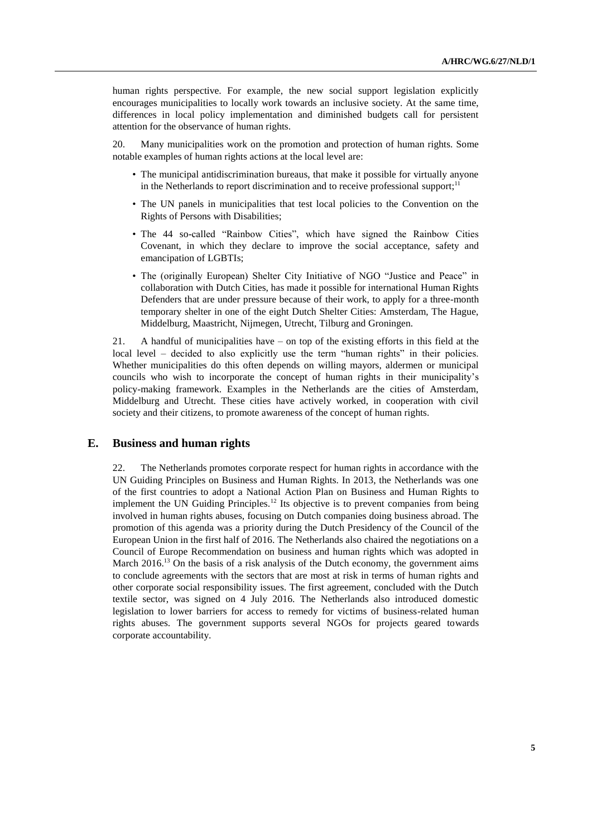human rights perspective. For example, the new social support legislation explicitly encourages municipalities to locally work towards an inclusive society. At the same time, differences in local policy implementation and diminished budgets call for persistent attention for the observance of human rights.

20. Many municipalities work on the promotion and protection of human rights. Some notable examples of human rights actions at the local level are:

- The municipal antidiscrimination bureaus, that make it possible for virtually anyone in the Netherlands to report discrimination and to receive professional support; $11$
- The UN panels in municipalities that test local policies to the Convention on the Rights of Persons with Disabilities;
- The 44 so-called "Rainbow Cities", which have signed the Rainbow Cities Covenant, in which they declare to improve the social acceptance, safety and emancipation of LGBTIs;
- The (originally European) Shelter City Initiative of NGO "Justice and Peace" in collaboration with Dutch Cities, has made it possible for international Human Rights Defenders that are under pressure because of their work, to apply for a three-month temporary shelter in one of the eight Dutch Shelter Cities: Amsterdam, The Hague, Middelburg, Maastricht, Nijmegen, Utrecht, Tilburg and Groningen.

21. A handful of municipalities have – on top of the existing efforts in this field at the local level – decided to also explicitly use the term "human rights" in their policies. Whether municipalities do this often depends on willing mayors, aldermen or municipal councils who wish to incorporate the concept of human rights in their municipality's policy-making framework. Examples in the Netherlands are the cities of Amsterdam, Middelburg and Utrecht. These cities have actively worked, in cooperation with civil society and their citizens, to promote awareness of the concept of human rights.

## **E. Business and human rights**

22. The Netherlands promotes corporate respect for human rights in accordance with the UN Guiding Principles on Business and Human Rights. In 2013, the Netherlands was one of the first countries to adopt a National Action Plan on Business and Human Rights to implement the UN Guiding Principles.<sup>12</sup> Its objective is to prevent companies from being involved in human rights abuses, focusing on Dutch companies doing business abroad. The promotion of this agenda was a priority during the Dutch Presidency of the Council of the European Union in the first half of 2016. The Netherlands also chaired the negotiations on a Council of Europe Recommendation on business and human rights which was adopted in March  $2016<sup>13</sup>$  On the basis of a risk analysis of the Dutch economy, the government aims to conclude agreements with the sectors that are most at risk in terms of human rights and other corporate social responsibility issues. The first agreement, concluded with the Dutch textile sector, was signed on 4 July 2016. The Netherlands also introduced domestic legislation to lower barriers for access to remedy for victims of business-related human rights abuses. The government supports several NGOs for projects geared towards corporate accountability.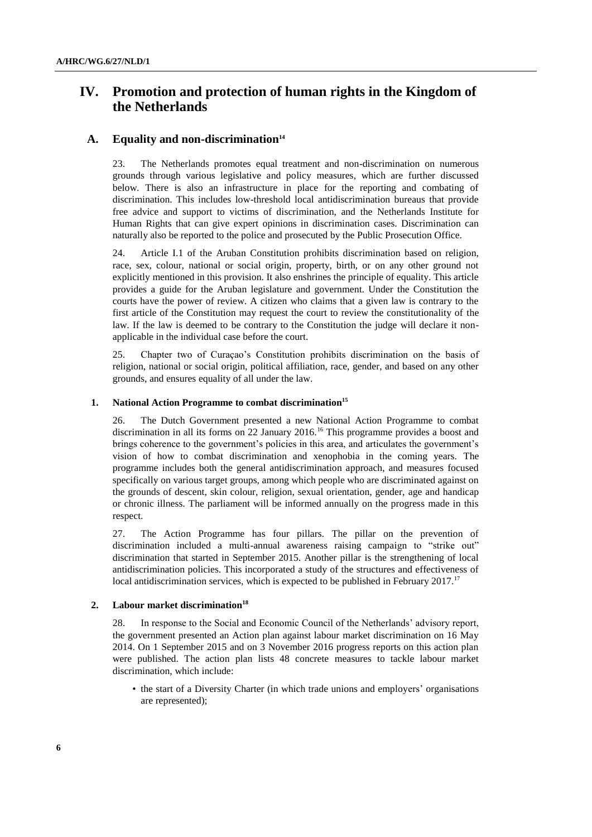# **IV. Promotion and protection of human rights in the Kingdom of the Netherlands**

### **A. Equality and non-discrimination<sup>14</sup>**

23. The Netherlands promotes equal treatment and non-discrimination on numerous grounds through various legislative and policy measures, which are further discussed below. There is also an infrastructure in place for the reporting and combating of discrimination. This includes low-threshold local antidiscrimination bureaus that provide free advice and support to victims of discrimination, and the Netherlands Institute for Human Rights that can give expert opinions in discrimination cases. Discrimination can naturally also be reported to the police and prosecuted by the Public Prosecution Office.

24. Article I.1 of the Aruban Constitution prohibits discrimination based on religion, race, sex, colour, national or social origin, property, birth, or on any other ground not explicitly mentioned in this provision. It also enshrines the principle of equality. This article provides a guide for the Aruban legislature and government. Under the Constitution the courts have the power of review. A citizen who claims that a given law is contrary to the first article of the Constitution may request the court to review the constitutionality of the law. If the law is deemed to be contrary to the Constitution the judge will declare it nonapplicable in the individual case before the court.

25. Chapter two of Curaçao's Constitution prohibits discrimination on the basis of religion, national or social origin, political affiliation, race, gender, and based on any other grounds, and ensures equality of all under the law.

### **1. National Action Programme to combat discrimination<sup>15</sup>**

26. The Dutch Government presented a new National Action Programme to combat discrimination in all its forms on 22 January 2016.<sup>16</sup> This programme provides a boost and brings coherence to the government's policies in this area, and articulates the government's vision of how to combat discrimination and xenophobia in the coming years. The programme includes both the general antidiscrimination approach, and measures focused specifically on various target groups, among which people who are discriminated against on the grounds of descent, skin colour, religion, sexual orientation, gender, age and handicap or chronic illness. The parliament will be informed annually on the progress made in this respect.

27. The Action Programme has four pillars. The pillar on the prevention of discrimination included a multi-annual awareness raising campaign to "strike out" discrimination that started in September 2015. Another pillar is the strengthening of local antidiscrimination policies. This incorporated a study of the structures and effectiveness of local antidiscrimination services, which is expected to be published in February 2017.<sup>17</sup>

#### **2. Labour market discrimination<sup>18</sup>**

28. In response to the Social and Economic Council of the Netherlands' advisory report, the government presented an Action plan against labour market discrimination on 16 May 2014. On 1 September 2015 and on 3 November 2016 progress reports on this action plan were published. The action plan lists 48 concrete measures to tackle labour market discrimination, which include:

• the start of a Diversity Charter (in which trade unions and employers' organisations are represented);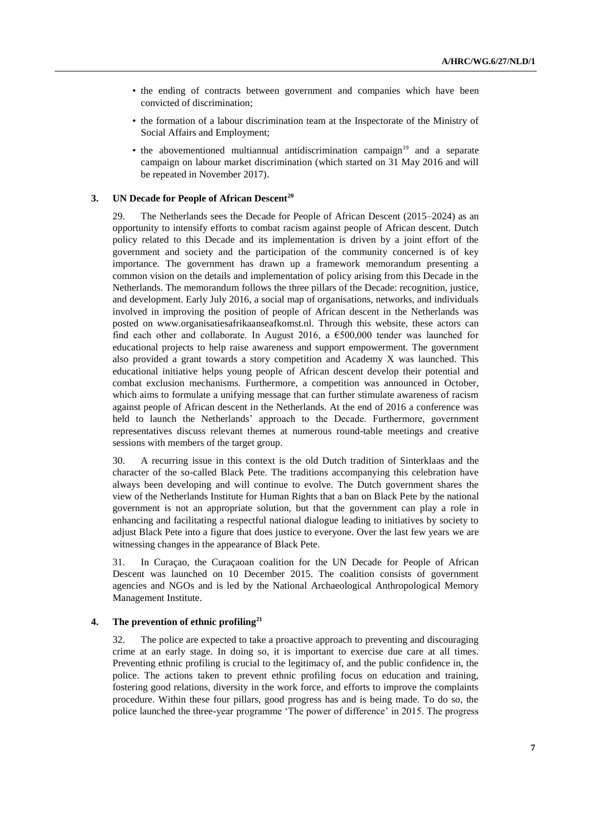- the ending of contracts between government and companies which have been convicted of discrimination;
- the formation of a labour discrimination team at the Inspectorate of the Ministry of Social Affairs and Employment;
- the abovementioned multiannual antidiscrimination campaign<sup>19</sup> and a separate campaign on labour market discrimination (which started on 31 May 2016 and will be repeated in November 2017).

#### **3. UN Decade for People of African Descent<sup>20</sup>**

29. The Netherlands sees the Decade for People of African Descent (2015–2024) as an opportunity to intensify efforts to combat racism against people of African descent. Dutch policy related to this Decade and its implementation is driven by a joint effort of the government and society and the participation of the community concerned is of key importance. The government has drawn up a framework memorandum presenting a common vision on the details and implementation of policy arising from this Decade in the Netherlands. The memorandum follows the three pillars of the Decade: recognition, justice, and development. Early July 2016, a social map of organisations, networks, and individuals involved in improving the position of people of African descent in the Netherlands was posted on www.organisatiesafrikaanseafkomst.nl. Through this website, these actors can find each other and collaborate. In August 2016, a  $\epsilon$ 500,000 tender was launched for educational projects to help raise awareness and support empowerment. The government also provided a grant towards a story competition and Academy X was launched. This educational initiative helps young people of African descent develop their potential and combat exclusion mechanisms. Furthermore, a competition was announced in October, which aims to formulate a unifying message that can further stimulate awareness of racism against people of African descent in the Netherlands. At the end of 2016 a conference was held to launch the Netherlands' approach to the Decade. Furthermore, government representatives discuss relevant themes at numerous round-table meetings and creative sessions with members of the target group.

30. A recurring issue in this context is the old Dutch tradition of Sinterklaas and the character of the so-called Black Pete. The traditions accompanying this celebration have always been developing and will continue to evolve. The Dutch government shares the view of the Netherlands Institute for Human Rights that a ban on Black Pete by the national government is not an appropriate solution, but that the government can play a role in enhancing and facilitating a respectful national dialogue leading to initiatives by society to adjust Black Pete into a figure that does justice to everyone. Over the last few years we are witnessing changes in the appearance of Black Pete.

31. In Curaçao, the Curaçaoan coalition for the UN Decade for People of African Descent was launched on 10 December 2015. The coalition consists of government agencies and NGOs and is led by the National Archaeological Anthropological Memory Management Institute.

### **4. The prevention of ethnic profiling<sup>21</sup>**

32. The police are expected to take a proactive approach to preventing and discouraging crime at an early stage. In doing so, it is important to exercise due care at all times. Preventing ethnic profiling is crucial to the legitimacy of, and the public confidence in, the police. The actions taken to prevent ethnic profiling focus on education and training, fostering good relations, diversity in the work force, and efforts to improve the complaints procedure. Within these four pillars, good progress has and is being made. To do so, the police launched the three-year programme 'The power of difference' in 2015. The progress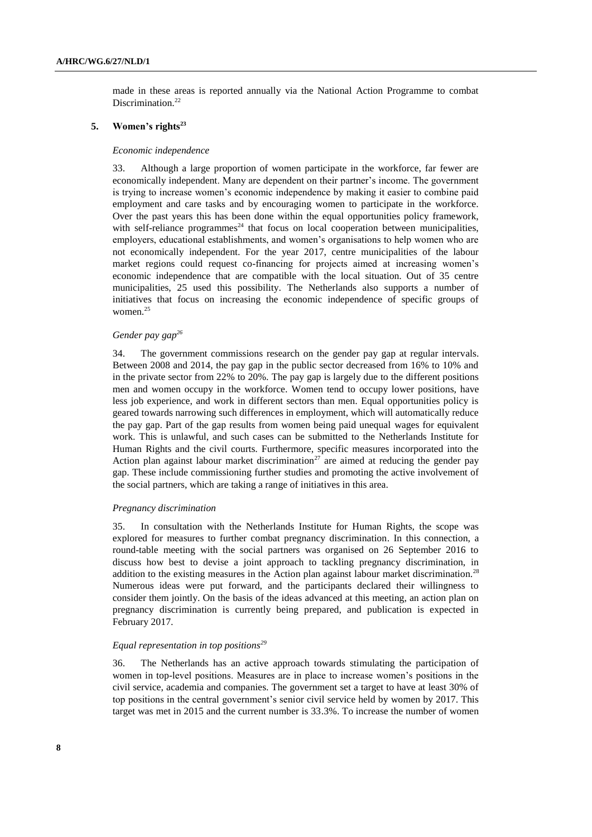made in these areas is reported annually via the National Action Programme to combat Discrimination.<sup>22</sup>

#### **5. Women's rights<sup>23</sup>**

#### *Economic independence*

33. Although a large proportion of women participate in the workforce, far fewer are economically independent. Many are dependent on their partner's income. The government is trying to increase women's economic independence by making it easier to combine paid employment and care tasks and by encouraging women to participate in the workforce. Over the past years this has been done within the equal opportunities policy framework, with self-reliance programmes<sup>24</sup> that focus on local cooperation between municipalities, employers, educational establishments, and women's organisations to help women who are not economically independent. For the year 2017, centre municipalities of the labour market regions could request co-financing for projects aimed at increasing women's economic independence that are compatible with the local situation. Out of 35 centre municipalities, 25 used this possibility. The Netherlands also supports a number of initiatives that focus on increasing the economic independence of specific groups of women.<sup>25</sup>

### *Gender pay gap<sup>26</sup>*

34. The government commissions research on the gender pay gap at regular intervals. Between 2008 and 2014, the pay gap in the public sector decreased from 16% to 10% and in the private sector from 22% to 20%. The pay gap is largely due to the different positions men and women occupy in the workforce. Women tend to occupy lower positions, have less job experience, and work in different sectors than men. Equal opportunities policy is geared towards narrowing such differences in employment, which will automatically reduce the pay gap. Part of the gap results from women being paid unequal wages for equivalent work. This is unlawful, and such cases can be submitted to the Netherlands Institute for Human Rights and the civil courts. Furthermore, specific measures incorporated into the Action plan against labour market discrimination<sup>27</sup> are aimed at reducing the gender pay gap. These include commissioning further studies and promoting the active involvement of the social partners, which are taking a range of initiatives in this area.

#### *Pregnancy discrimination*

35. In consultation with the Netherlands Institute for Human Rights, the scope was explored for measures to further combat pregnancy discrimination. In this connection, a round-table meeting with the social partners was organised on 26 September 2016 to discuss how best to devise a joint approach to tackling pregnancy discrimination, in addition to the existing measures in the Action plan against labour market discrimination.<sup>28</sup> Numerous ideas were put forward, and the participants declared their willingness to consider them jointly. On the basis of the ideas advanced at this meeting, an action plan on pregnancy discrimination is currently being prepared, and publication is expected in February 2017.

# *Equal representation in top positions<sup>29</sup>*

36. The Netherlands has an active approach towards stimulating the participation of women in top-level positions. Measures are in place to increase women's positions in the civil service, academia and companies. The government set a target to have at least 30% of top positions in the central government's senior civil service held by women by 2017. This target was met in 2015 and the current number is 33.3%. To increase the number of women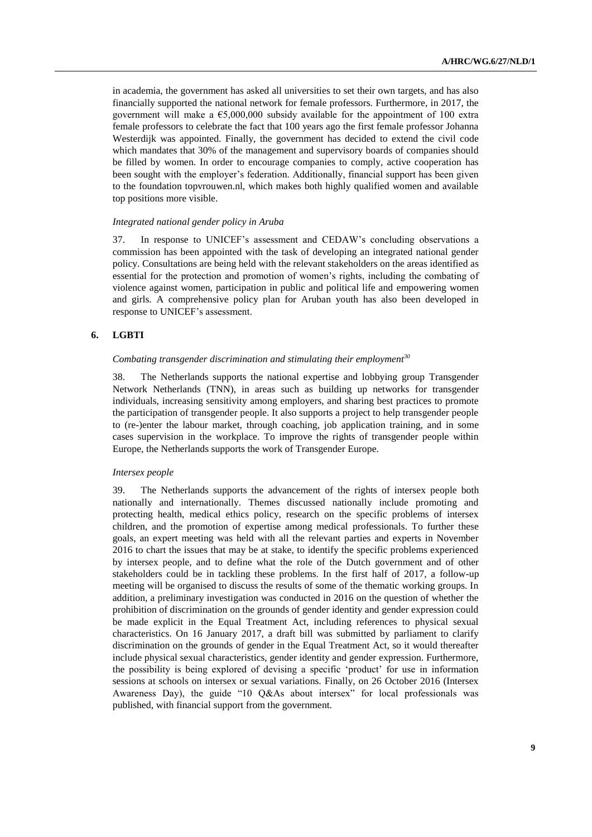in academia, the government has asked all universities to set their own targets, and has also financially supported the national network for female professors. Furthermore, in 2017, the government will make a  $\epsilon$ 5,000,000 subsidy available for the appointment of 100 extra female professors to celebrate the fact that 100 years ago the first female professor Johanna Westerdijk was appointed. Finally, the government has decided to extend the civil code which mandates that 30% of the management and supervisory boards of companies should be filled by women. In order to encourage companies to comply, active cooperation has been sought with the employer's federation. Additionally, financial support has been given to the foundation topvrouwen.nl, which makes both highly qualified women and available top positions more visible.

#### *Integrated national gender policy in Aruba*

37. In response to UNICEF's assessment and CEDAW's concluding observations a commission has been appointed with the task of developing an integrated national gender policy. Consultations are being held with the relevant stakeholders on the areas identified as essential for the protection and promotion of women's rights, including the combating of violence against women, participation in public and political life and empowering women and girls. A comprehensive policy plan for Aruban youth has also been developed in response to UNICEF's assessment.

### **6. LGBTI**

#### *Combating transgender discrimination and stimulating their employment<sup>30</sup>*

38. The Netherlands supports the national expertise and lobbying group Transgender Network Netherlands (TNN), in areas such as building up networks for transgender individuals, increasing sensitivity among employers, and sharing best practices to promote the participation of transgender people. It also supports a project to help transgender people to (re-)enter the labour market, through coaching, job application training, and in some cases supervision in the workplace. To improve the rights of transgender people within Europe, the Netherlands supports the work of Transgender Europe.

### *Intersex people*

39. The Netherlands supports the advancement of the rights of intersex people both nationally and internationally. Themes discussed nationally include promoting and protecting health, medical ethics policy, research on the specific problems of intersex children, and the promotion of expertise among medical professionals. To further these goals, an expert meeting was held with all the relevant parties and experts in November 2016 to chart the issues that may be at stake, to identify the specific problems experienced by intersex people, and to define what the role of the Dutch government and of other stakeholders could be in tackling these problems. In the first half of 2017, a follow-up meeting will be organised to discuss the results of some of the thematic working groups. In addition, a preliminary investigation was conducted in 2016 on the question of whether the prohibition of discrimination on the grounds of gender identity and gender expression could be made explicit in the Equal Treatment Act, including references to physical sexual characteristics. On 16 January 2017, a draft bill was submitted by parliament to clarify discrimination on the grounds of gender in the Equal Treatment Act, so it would thereafter include physical sexual characteristics, gender identity and gender expression. Furthermore, the possibility is being explored of devising a specific 'product' for use in information sessions at schools on intersex or sexual variations. Finally, on 26 October 2016 (Intersex Awareness Day), the guide "10 Q&As about intersex" for local professionals was published, with financial support from the government.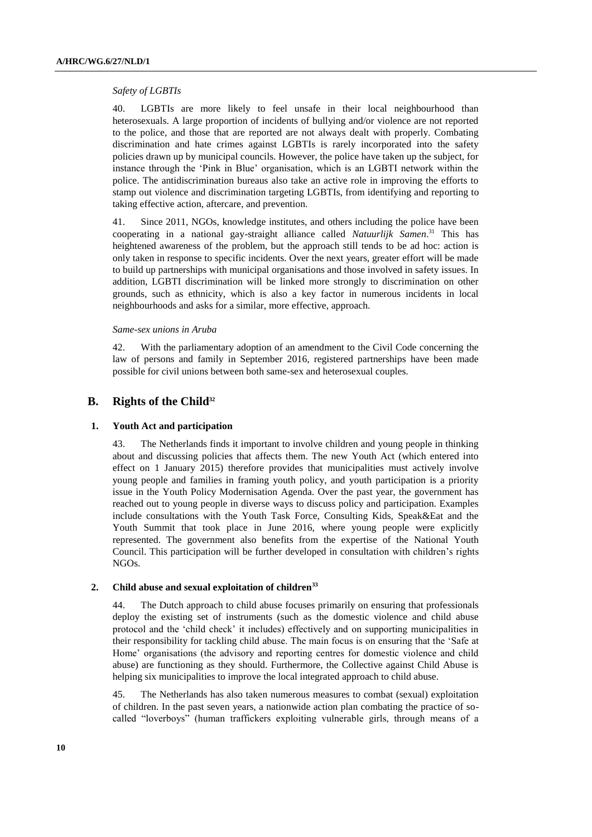#### *Safety of LGBTIs*

40. LGBTIs are more likely to feel unsafe in their local neighbourhood than heterosexuals. A large proportion of incidents of bullying and/or violence are not reported to the police, and those that are reported are not always dealt with properly. Combating discrimination and hate crimes against LGBTIs is rarely incorporated into the safety policies drawn up by municipal councils. However, the police have taken up the subject, for instance through the 'Pink in Blue' organisation, which is an LGBTI network within the police. The antidiscrimination bureaus also take an active role in improving the efforts to stamp out violence and discrimination targeting LGBTIs, from identifying and reporting to taking effective action, aftercare, and prevention.

41. Since 2011, NGOs, knowledge institutes, and others including the police have been cooperating in a national gay-straight alliance called *Natuurlijk Samen*. <sup>31</sup> This has heightened awareness of the problem, but the approach still tends to be ad hoc: action is only taken in response to specific incidents. Over the next years, greater effort will be made to build up partnerships with municipal organisations and those involved in safety issues. In addition, LGBTI discrimination will be linked more strongly to discrimination on other grounds, such as ethnicity, which is also a key factor in numerous incidents in local neighbourhoods and asks for a similar, more effective, approach.

#### *Same-sex unions in Aruba*

42. With the parliamentary adoption of an amendment to the Civil Code concerning the law of persons and family in September 2016, registered partnerships have been made possible for civil unions between both same-sex and heterosexual couples.

### **B. Rights of the Child<sup>32</sup>**

#### **1. Youth Act and participation**

43. The Netherlands finds it important to involve children and young people in thinking about and discussing policies that affects them. The new Youth Act (which entered into effect on 1 January 2015) therefore provides that municipalities must actively involve young people and families in framing youth policy, and youth participation is a priority issue in the Youth Policy Modernisation Agenda. Over the past year, the government has reached out to young people in diverse ways to discuss policy and participation. Examples include consultations with the Youth Task Force, Consulting Kids, Speak&Eat and the Youth Summit that took place in June 2016, where young people were explicitly represented. The government also benefits from the expertise of the National Youth Council. This participation will be further developed in consultation with children's rights NGOs.

### **2. Child abuse and sexual exploitation of children<sup>33</sup>**

44. The Dutch approach to child abuse focuses primarily on ensuring that professionals deploy the existing set of instruments (such as the domestic violence and child abuse protocol and the 'child check' it includes) effectively and on supporting municipalities in their responsibility for tackling child abuse. The main focus is on ensuring that the 'Safe at Home' organisations (the advisory and reporting centres for domestic violence and child abuse) are functioning as they should. Furthermore, the Collective against Child Abuse is helping six municipalities to improve the local integrated approach to child abuse.

45. The Netherlands has also taken numerous measures to combat (sexual) exploitation of children. In the past seven years, a nationwide action plan combating the practice of socalled "loverboys" (human traffickers exploiting vulnerable girls, through means of a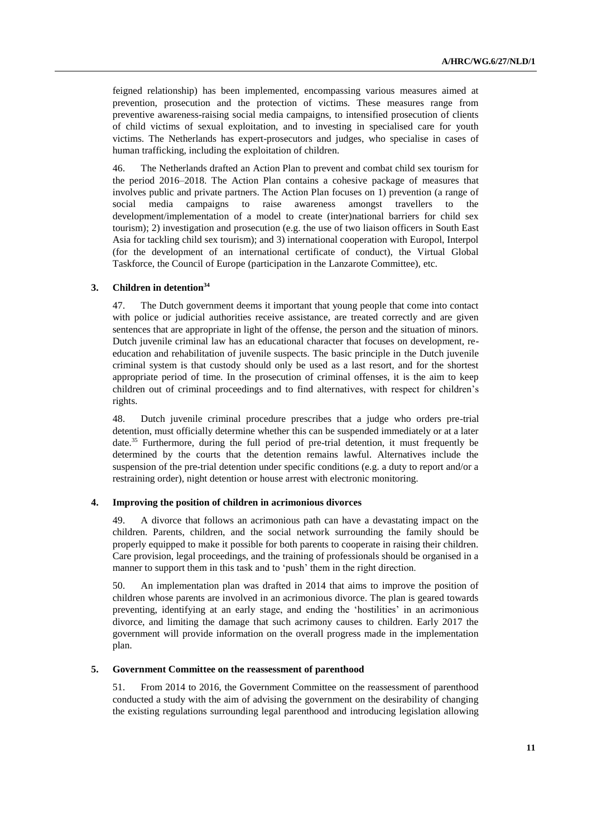feigned relationship) has been implemented, encompassing various measures aimed at prevention, prosecution and the protection of victims. These measures range from preventive awareness-raising social media campaigns, to intensified prosecution of clients of child victims of sexual exploitation, and to investing in specialised care for youth victims. The Netherlands has expert-prosecutors and judges, who specialise in cases of human trafficking, including the exploitation of children.

46. The Netherlands drafted an Action Plan to prevent and combat child sex tourism for the period 2016–2018. The Action Plan contains a cohesive package of measures that involves public and private partners. The Action Plan focuses on 1) prevention (a range of social media campaigns to raise awareness amongst travellers to the development/implementation of a model to create (inter)national barriers for child sex tourism); 2) investigation and prosecution (e.g. the use of two liaison officers in South East Asia for tackling child sex tourism); and 3) international cooperation with Europol, Interpol (for the development of an international certificate of conduct), the Virtual Global Taskforce, the Council of Europe (participation in the Lanzarote Committee), etc.

### **3. Children in detention<sup>34</sup>**

47. The Dutch government deems it important that young people that come into contact with police or judicial authorities receive assistance, are treated correctly and are given sentences that are appropriate in light of the offense, the person and the situation of minors. Dutch juvenile criminal law has an educational character that focuses on development, reeducation and rehabilitation of juvenile suspects. The basic principle in the Dutch juvenile criminal system is that custody should only be used as a last resort, and for the shortest appropriate period of time. In the prosecution of criminal offenses, it is the aim to keep children out of criminal proceedings and to find alternatives, with respect for children's rights.

48. Dutch juvenile criminal procedure prescribes that a judge who orders pre-trial detention, must officially determine whether this can be suspended immediately or at a later date.<sup>35</sup> Furthermore, during the full period of pre-trial detention, it must frequently be determined by the courts that the detention remains lawful. Alternatives include the suspension of the pre-trial detention under specific conditions (e.g. a duty to report and/or a restraining order), night detention or house arrest with electronic monitoring.

#### **4. Improving the position of children in acrimonious divorces**

49. A divorce that follows an acrimonious path can have a devastating impact on the children. Parents, children, and the social network surrounding the family should be properly equipped to make it possible for both parents to cooperate in raising their children. Care provision, legal proceedings, and the training of professionals should be organised in a manner to support them in this task and to 'push' them in the right direction.

50. An implementation plan was drafted in 2014 that aims to improve the position of children whose parents are involved in an acrimonious divorce. The plan is geared towards preventing, identifying at an early stage, and ending the 'hostilities' in an acrimonious divorce, and limiting the damage that such acrimony causes to children. Early 2017 the government will provide information on the overall progress made in the implementation plan.

### **5. Government Committee on the reassessment of parenthood**

51. From 2014 to 2016, the Government Committee on the reassessment of parenthood conducted a study with the aim of advising the government on the desirability of changing the existing regulations surrounding legal parenthood and introducing legislation allowing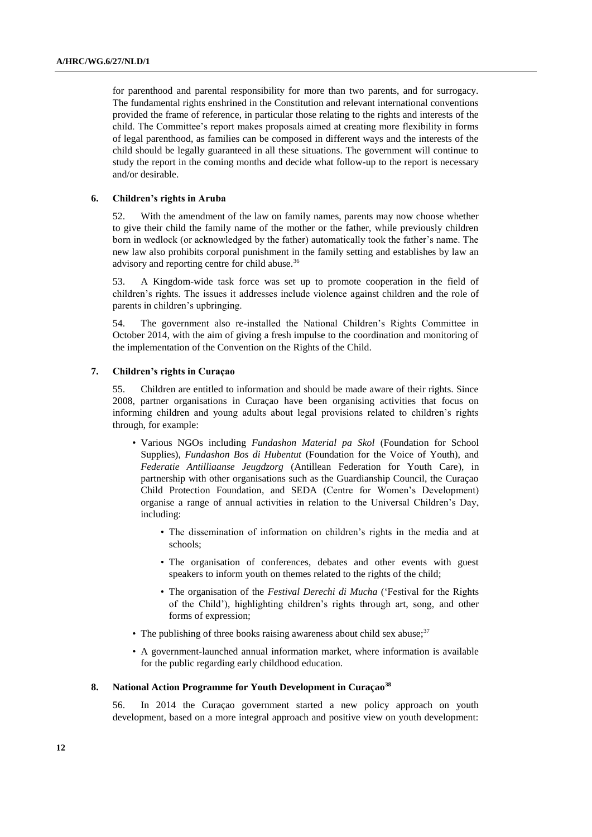for parenthood and parental responsibility for more than two parents, and for surrogacy. The fundamental rights enshrined in the Constitution and relevant international conventions provided the frame of reference, in particular those relating to the rights and interests of the child. The Committee's report makes proposals aimed at creating more flexibility in forms of legal parenthood, as families can be composed in different ways and the interests of the child should be legally guaranteed in all these situations. The government will continue to study the report in the coming months and decide what follow-up to the report is necessary and/or desirable.

### **6. Children's rights in Aruba**

52. With the amendment of the law on family names, parents may now choose whether to give their child the family name of the mother or the father, while previously children born in wedlock (or acknowledged by the father) automatically took the father's name. The new law also prohibits corporal punishment in the family setting and establishes by law an advisory and reporting centre for child abuse.<sup>36</sup>

53. A Kingdom-wide task force was set up to promote cooperation in the field of children's rights. The issues it addresses include violence against children and the role of parents in children's upbringing.

54. The government also re-installed the National Children's Rights Committee in October 2014, with the aim of giving a fresh impulse to the coordination and monitoring of the implementation of the Convention on the Rights of the Child.

#### **7. Children's rights in Curaçao**

55. Children are entitled to information and should be made aware of their rights. Since 2008, partner organisations in Curaçao have been organising activities that focus on informing children and young adults about legal provisions related to children's rights through, for example:

- Various NGOs including *Fundashon Material pa Skol* (Foundation for School Supplies), *Fundashon Bos di Hubentut* (Foundation for the Voice of Youth), and *Federatie Antilliaanse Jeugdzorg* (Antillean Federation for Youth Care), in partnership with other organisations such as the Guardianship Council, the Curaçao Child Protection Foundation, and SEDA (Centre for Women's Development) organise a range of annual activities in relation to the Universal Children's Day, including:
	- The dissemination of information on children's rights in the media and at schools;
	- The organisation of conferences, debates and other events with guest speakers to inform youth on themes related to the rights of the child;
	- The organisation of the *Festival Derechi di Mucha* ('Festival for the Rights of the Child'), highlighting children's rights through art, song, and other forms of expression;
- The publishing of three books raising awareness about child sex abuse; $37$
- A government-launched annual information market, where information is available for the public regarding early childhood education.

### **8. National Action Programme for Youth Development in Curaçao<sup>38</sup>**

56. In 2014 the Curaçao government started a new policy approach on youth development, based on a more integral approach and positive view on youth development: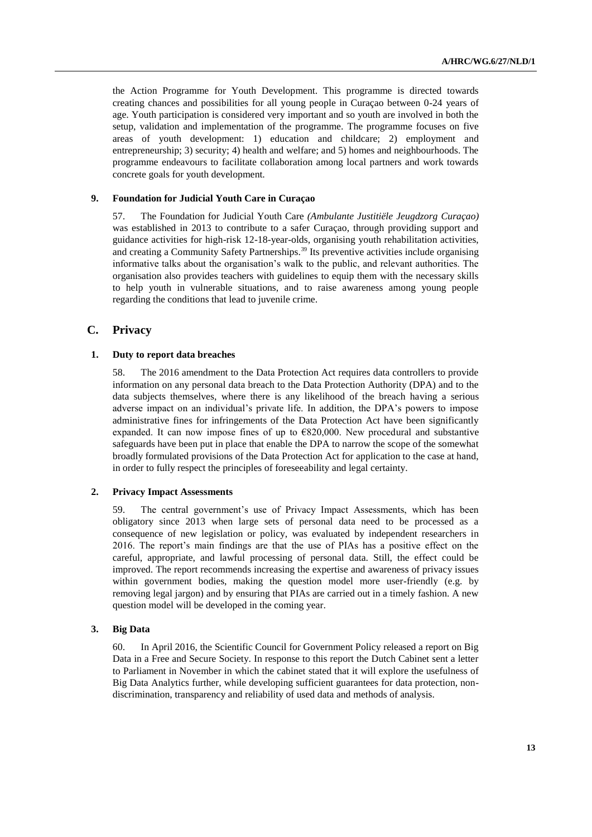the Action Programme for Youth Development. This programme is directed towards creating chances and possibilities for all young people in Curaçao between 0-24 years of age. Youth participation is considered very important and so youth are involved in both the setup, validation and implementation of the programme. The programme focuses on five areas of youth development: 1) education and childcare; 2) employment and entrepreneurship; 3) security; 4) health and welfare; and 5) homes and neighbourhoods. The programme endeavours to facilitate collaboration among local partners and work towards concrete goals for youth development.

### **9. Foundation for Judicial Youth Care in Curaçao**

57. The Foundation for Judicial Youth Care *(Ambulante Justitiële Jeugdzorg Curaçao)* was established in 2013 to contribute to a safer Curaçao, through providing support and guidance activities for high-risk 12-18-year-olds, organising youth rehabilitation activities, and creating a Community Safety Partnerships.<sup>39</sup> Its preventive activities include organising informative talks about the organisation's walk to the public, and relevant authorities. The organisation also provides teachers with guidelines to equip them with the necessary skills to help youth in vulnerable situations, and to raise awareness among young people regarding the conditions that lead to juvenile crime.

### **C. Privacy**

#### **1. Duty to report data breaches**

58. The 2016 amendment to the Data Protection Act requires data controllers to provide information on any personal data breach to the Data Protection Authority (DPA) and to the data subjects themselves, where there is any likelihood of the breach having a serious adverse impact on an individual's private life. In addition, the DPA's powers to impose administrative fines for infringements of the Data Protection Act have been significantly expanded. It can now impose fines of up to  $E820,000$ . New procedural and substantive safeguards have been put in place that enable the DPA to narrow the scope of the somewhat broadly formulated provisions of the Data Protection Act for application to the case at hand, in order to fully respect the principles of foreseeability and legal certainty.

#### **2. Privacy Impact Assessments**

59. The central government's use of Privacy Impact Assessments, which has been obligatory since 2013 when large sets of personal data need to be processed as a consequence of new legislation or policy, was evaluated by independent researchers in 2016. The report's main findings are that the use of PIAs has a positive effect on the careful, appropriate, and lawful processing of personal data. Still, the effect could be improved. The report recommends increasing the expertise and awareness of privacy issues within government bodies, making the question model more user-friendly (e.g. by removing legal jargon) and by ensuring that PIAs are carried out in a timely fashion. A new question model will be developed in the coming year.

### **3. Big Data**

60. In April 2016, the Scientific Council for Government Policy released a report on Big Data in a Free and Secure Society. In response to this report the Dutch Cabinet sent a letter to Parliament in November in which the cabinet stated that it will explore the usefulness of Big Data Analytics further, while developing sufficient guarantees for data protection, nondiscrimination, transparency and reliability of used data and methods of analysis.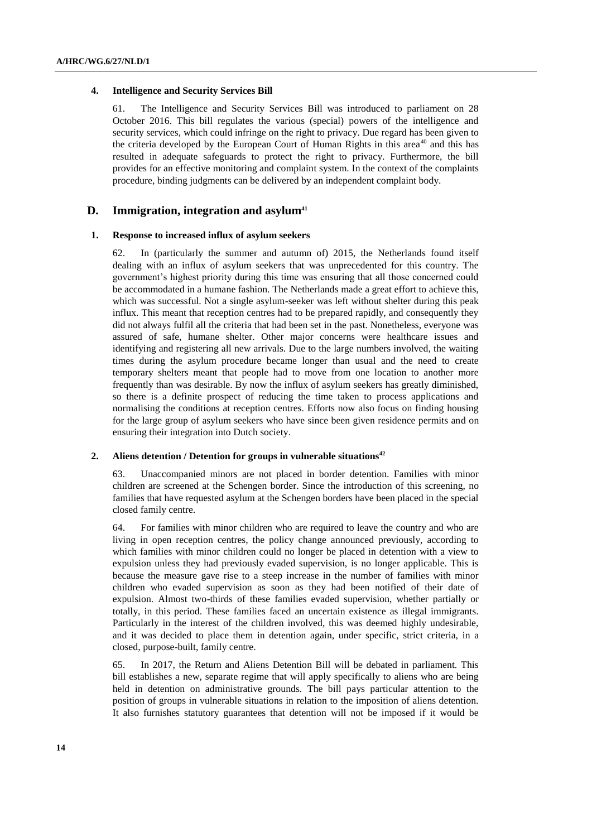#### **4. Intelligence and Security Services Bill**

61. The Intelligence and Security Services Bill was introduced to parliament on 28 October 2016. This bill regulates the various (special) powers of the intelligence and security services, which could infringe on the right to privacy. Due regard has been given to the criteria developed by the European Court of Human Rights in this area<sup>40</sup> and this has resulted in adequate safeguards to protect the right to privacy. Furthermore, the bill provides for an effective monitoring and complaint system. In the context of the complaints procedure, binding judgments can be delivered by an independent complaint body.

### **D. Immigration, integration and asylum<sup>41</sup>**

### **1. Response to increased influx of asylum seekers**

62. In (particularly the summer and autumn of) 2015, the Netherlands found itself dealing with an influx of asylum seekers that was unprecedented for this country. The government's highest priority during this time was ensuring that all those concerned could be accommodated in a humane fashion. The Netherlands made a great effort to achieve this, which was successful. Not a single asylum-seeker was left without shelter during this peak influx. This meant that reception centres had to be prepared rapidly, and consequently they did not always fulfil all the criteria that had been set in the past. Nonetheless, everyone was assured of safe, humane shelter. Other major concerns were healthcare issues and identifying and registering all new arrivals. Due to the large numbers involved, the waiting times during the asylum procedure became longer than usual and the need to create temporary shelters meant that people had to move from one location to another more frequently than was desirable. By now the influx of asylum seekers has greatly diminished, so there is a definite prospect of reducing the time taken to process applications and normalising the conditions at reception centres. Efforts now also focus on finding housing for the large group of asylum seekers who have since been given residence permits and on ensuring their integration into Dutch society.

#### **2. Aliens detention / Detention for groups in vulnerable situations<sup>42</sup>**

63. Unaccompanied minors are not placed in border detention. Families with minor children are screened at the Schengen border. Since the introduction of this screening, no families that have requested asylum at the Schengen borders have been placed in the special closed family centre.

64. For families with minor children who are required to leave the country and who are living in open reception centres, the policy change announced previously, according to which families with minor children could no longer be placed in detention with a view to expulsion unless they had previously evaded supervision, is no longer applicable. This is because the measure gave rise to a steep increase in the number of families with minor children who evaded supervision as soon as they had been notified of their date of expulsion. Almost two-thirds of these families evaded supervision, whether partially or totally, in this period. These families faced an uncertain existence as illegal immigrants. Particularly in the interest of the children involved, this was deemed highly undesirable, and it was decided to place them in detention again, under specific, strict criteria, in a closed, purpose-built, family centre.

65. In 2017, the Return and Aliens Detention Bill will be debated in parliament. This bill establishes a new, separate regime that will apply specifically to aliens who are being held in detention on administrative grounds. The bill pays particular attention to the position of groups in vulnerable situations in relation to the imposition of aliens detention. It also furnishes statutory guarantees that detention will not be imposed if it would be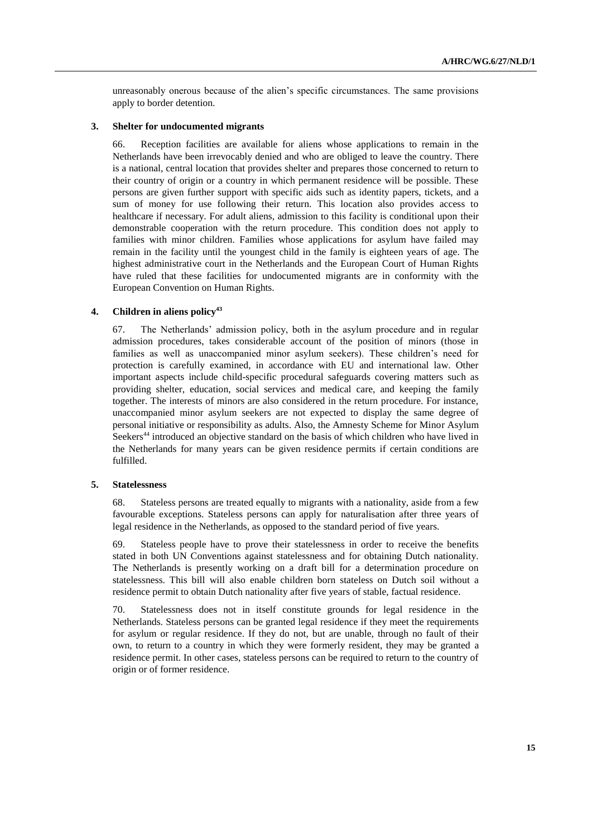unreasonably onerous because of the alien's specific circumstances. The same provisions apply to border detention.

#### **3. Shelter for undocumented migrants**

66. Reception facilities are available for aliens whose applications to remain in the Netherlands have been irrevocably denied and who are obliged to leave the country. There is a national, central location that provides shelter and prepares those concerned to return to their country of origin or a country in which permanent residence will be possible. These persons are given further support with specific aids such as identity papers, tickets, and a sum of money for use following their return. This location also provides access to healthcare if necessary. For adult aliens, admission to this facility is conditional upon their demonstrable cooperation with the return procedure. This condition does not apply to families with minor children. Families whose applications for asylum have failed may remain in the facility until the youngest child in the family is eighteen years of age. The highest administrative court in the Netherlands and the European Court of Human Rights have ruled that these facilities for undocumented migrants are in conformity with the European Convention on Human Rights.

# **4. Children in aliens policy<sup>43</sup>**

67. The Netherlands' admission policy, both in the asylum procedure and in regular admission procedures, takes considerable account of the position of minors (those in families as well as unaccompanied minor asylum seekers). These children's need for protection is carefully examined, in accordance with EU and international law. Other important aspects include child-specific procedural safeguards covering matters such as providing shelter, education, social services and medical care, and keeping the family together. The interests of minors are also considered in the return procedure. For instance, unaccompanied minor asylum seekers are not expected to display the same degree of personal initiative or responsibility as adults. Also, the Amnesty Scheme for Minor Asylum Seekers<sup>44</sup> introduced an objective standard on the basis of which children who have lived in the Netherlands for many years can be given residence permits if certain conditions are fulfilled.

### **5. Statelessness**

68. Stateless persons are treated equally to migrants with a nationality, aside from a few favourable exceptions. Stateless persons can apply for naturalisation after three years of legal residence in the Netherlands, as opposed to the standard period of five years.

69. Stateless people have to prove their statelessness in order to receive the benefits stated in both UN Conventions against statelessness and for obtaining Dutch nationality. The Netherlands is presently working on a draft bill for a determination procedure on statelessness. This bill will also enable children born stateless on Dutch soil without a residence permit to obtain Dutch nationality after five years of stable, factual residence.

70. Statelessness does not in itself constitute grounds for legal residence in the Netherlands. Stateless persons can be granted legal residence if they meet the requirements for asylum or regular residence. If they do not, but are unable, through no fault of their own, to return to a country in which they were formerly resident, they may be granted a residence permit. In other cases, stateless persons can be required to return to the country of origin or of former residence.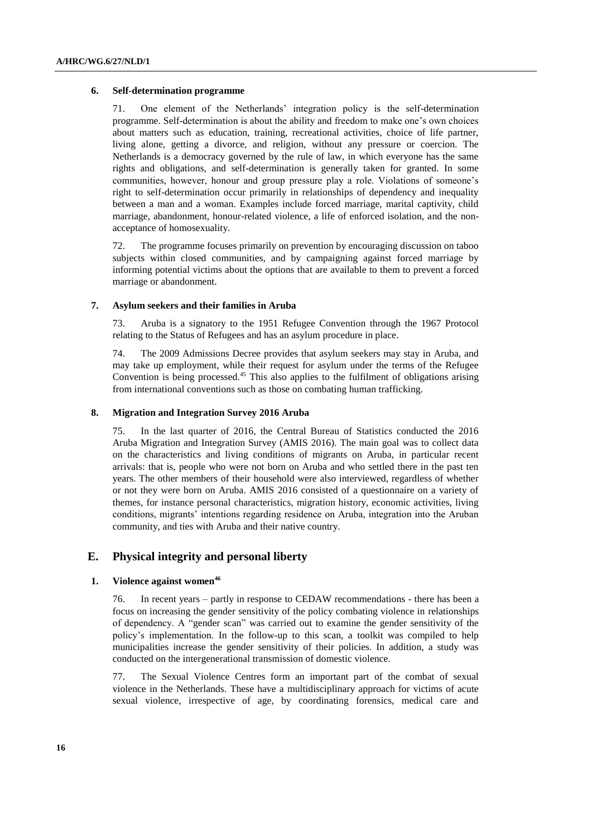#### **6. Self-determination programme**

71. One element of the Netherlands' integration policy is the self-determination programme. Self-determination is about the ability and freedom to make one's own choices about matters such as education, training, recreational activities, choice of life partner, living alone, getting a divorce, and religion, without any pressure or coercion. The Netherlands is a democracy governed by the rule of law, in which everyone has the same rights and obligations, and self-determination is generally taken for granted. In some communities, however, honour and group pressure play a role. Violations of someone's right to self-determination occur primarily in relationships of dependency and inequality between a man and a woman. Examples include forced marriage, marital captivity, child marriage, abandonment, honour-related violence, a life of enforced isolation, and the nonacceptance of homosexuality.

72. The programme focuses primarily on prevention by encouraging discussion on taboo subjects within closed communities, and by campaigning against forced marriage by informing potential victims about the options that are available to them to prevent a forced marriage or abandonment.

### **7. Asylum seekers and their families in Aruba**

73. Aruba is a signatory to the 1951 Refugee Convention through the 1967 Protocol relating to the Status of Refugees and has an asylum procedure in place.

74. The 2009 Admissions Decree provides that asylum seekers may stay in Aruba, and may take up employment, while their request for asylum under the terms of the Refugee Convention is being processed.<sup>45</sup> This also applies to the fulfilment of obligations arising from international conventions such as those on combating human trafficking.

#### **8. Migration and Integration Survey 2016 Aruba**

75. In the last quarter of 2016, the Central Bureau of Statistics conducted the 2016 Aruba Migration and Integration Survey (AMIS 2016). The main goal was to collect data on the characteristics and living conditions of migrants on Aruba, in particular recent arrivals: that is, people who were not born on Aruba and who settled there in the past ten years. The other members of their household were also interviewed, regardless of whether or not they were born on Aruba. AMIS 2016 consisted of a questionnaire on a variety of themes, for instance personal characteristics, migration history, economic activities, living conditions, migrants' intentions regarding residence on Aruba, integration into the Aruban community, and ties with Aruba and their native country.

## **E. Physical integrity and personal liberty**

#### **1. Violence against women<sup>46</sup>**

76. In recent years – partly in response to CEDAW recommendations - there has been a focus on increasing the gender sensitivity of the policy combating violence in relationships of dependency. A "gender scan" was carried out to examine the gender sensitivity of the policy's implementation. In the follow-up to this scan, a toolkit was compiled to help municipalities increase the gender sensitivity of their policies. In addition, a study was conducted on the intergenerational transmission of domestic violence.

77. The Sexual Violence Centres form an important part of the combat of sexual violence in the Netherlands. These have a multidisciplinary approach for victims of acute sexual violence, irrespective of age, by coordinating forensics, medical care and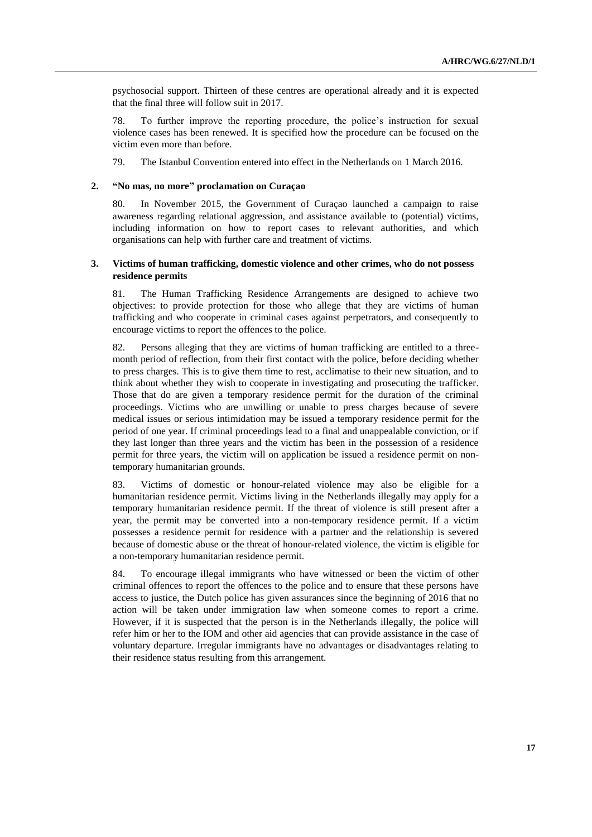psychosocial support. Thirteen of these centres are operational already and it is expected that the final three will follow suit in 2017.

78. To further improve the reporting procedure, the police's instruction for sexual violence cases has been renewed. It is specified how the procedure can be focused on the victim even more than before.

79. The Istanbul Convention entered into effect in the Netherlands on 1 March 2016.

### **2. "No mas, no more" proclamation on Curaçao**

80. In November 2015, the Government of Curaçao launched a campaign to raise awareness regarding relational aggression, and assistance available to (potential) victims, including information on how to report cases to relevant authorities, and which organisations can help with further care and treatment of victims.

### **3. Victims of human trafficking, domestic violence and other crimes, who do not possess residence permits**

81. The Human Trafficking Residence Arrangements are designed to achieve two objectives: to provide protection for those who allege that they are victims of human trafficking and who cooperate in criminal cases against perpetrators, and consequently to encourage victims to report the offences to the police.

82. Persons alleging that they are victims of human trafficking are entitled to a threemonth period of reflection, from their first contact with the police, before deciding whether to press charges. This is to give them time to rest, acclimatise to their new situation, and to think about whether they wish to cooperate in investigating and prosecuting the trafficker. Those that do are given a temporary residence permit for the duration of the criminal proceedings. Victims who are unwilling or unable to press charges because of severe medical issues or serious intimidation may be issued a temporary residence permit for the period of one year. If criminal proceedings lead to a final and unappealable conviction, or if they last longer than three years and the victim has been in the possession of a residence permit for three years, the victim will on application be issued a residence permit on nontemporary humanitarian grounds.

83. Victims of domestic or honour-related violence may also be eligible for a humanitarian residence permit. Victims living in the Netherlands illegally may apply for a temporary humanitarian residence permit. If the threat of violence is still present after a year, the permit may be converted into a non-temporary residence permit. If a victim possesses a residence permit for residence with a partner and the relationship is severed because of domestic abuse or the threat of honour-related violence, the victim is eligible for a non-temporary humanitarian residence permit.

84. To encourage illegal immigrants who have witnessed or been the victim of other criminal offences to report the offences to the police and to ensure that these persons have access to justice, the Dutch police has given assurances since the beginning of 2016 that no action will be taken under immigration law when someone comes to report a crime. However, if it is suspected that the person is in the Netherlands illegally, the police will refer him or her to the IOM and other aid agencies that can provide assistance in the case of voluntary departure. Irregular immigrants have no advantages or disadvantages relating to their residence status resulting from this arrangement.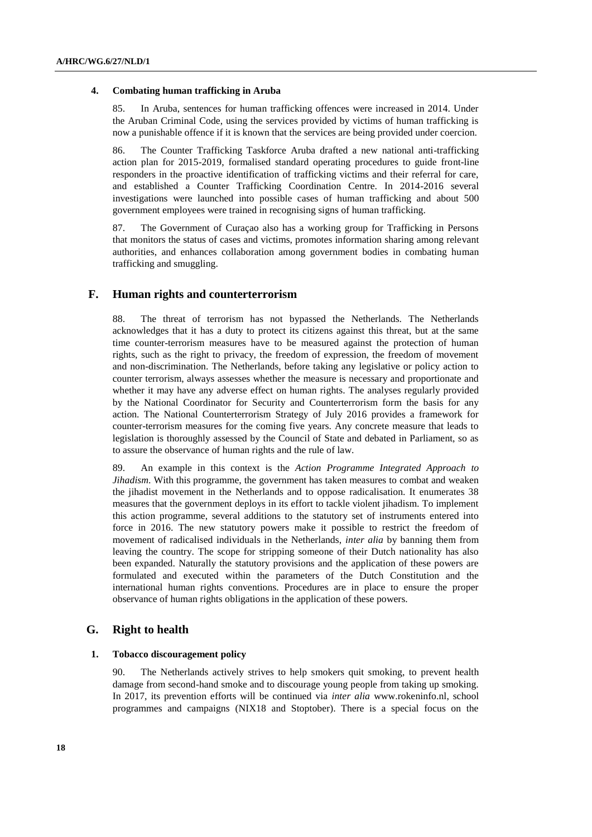#### **4. Combating human trafficking in Aruba**

85. In Aruba, sentences for human trafficking offences were increased in 2014. Under the Aruban Criminal Code, using the services provided by victims of human trafficking is now a punishable offence if it is known that the services are being provided under coercion.

86. The Counter Trafficking Taskforce Aruba drafted a new national anti-trafficking action plan for 2015-2019, formalised standard operating procedures to guide front-line responders in the proactive identification of trafficking victims and their referral for care, and established a Counter Trafficking Coordination Centre. In 2014-2016 several investigations were launched into possible cases of human trafficking and about 500 government employees were trained in recognising signs of human trafficking.

87. The Government of Curaçao also has a working group for Trafficking in Persons that monitors the status of cases and victims, promotes information sharing among relevant authorities, and enhances collaboration among government bodies in combating human trafficking and smuggling.

# **F. Human rights and counterterrorism**

88. The threat of terrorism has not bypassed the Netherlands. The Netherlands acknowledges that it has a duty to protect its citizens against this threat, but at the same time counter-terrorism measures have to be measured against the protection of human rights, such as the right to privacy, the freedom of expression, the freedom of movement and non-discrimination. The Netherlands, before taking any legislative or policy action to counter terrorism, always assesses whether the measure is necessary and proportionate and whether it may have any adverse effect on human rights. The analyses regularly provided by the National Coordinator for Security and Counterterrorism form the basis for any action. The National Counterterrorism Strategy of July 2016 provides a framework for counter-terrorism measures for the coming five years. Any concrete measure that leads to legislation is thoroughly assessed by the Council of State and debated in Parliament, so as to assure the observance of human rights and the rule of law.

89. An example in this context is the *Action Programme Integrated Approach to Jihadism*. With this programme, the government has taken measures to combat and weaken the jihadist movement in the Netherlands and to oppose radicalisation. It enumerates 38 measures that the government deploys in its effort to tackle violent jihadism. To implement this action programme, several additions to the statutory set of instruments entered into force in 2016. The new statutory powers make it possible to restrict the freedom of movement of radicalised individuals in the Netherlands, *inter alia* by banning them from leaving the country. The scope for stripping someone of their Dutch nationality has also been expanded. Naturally the statutory provisions and the application of these powers are formulated and executed within the parameters of the Dutch Constitution and the international human rights conventions. Procedures are in place to ensure the proper observance of human rights obligations in the application of these powers.

# **G. Right to health**

#### **1. Tobacco discouragement policy**

90. The Netherlands actively strives to help smokers quit smoking, to prevent health damage from second-hand smoke and to discourage young people from taking up smoking. In 2017, its prevention efforts will be continued via *inter alia* www.rokeninfo.nl, school programmes and campaigns (NIX18 and Stoptober). There is a special focus on the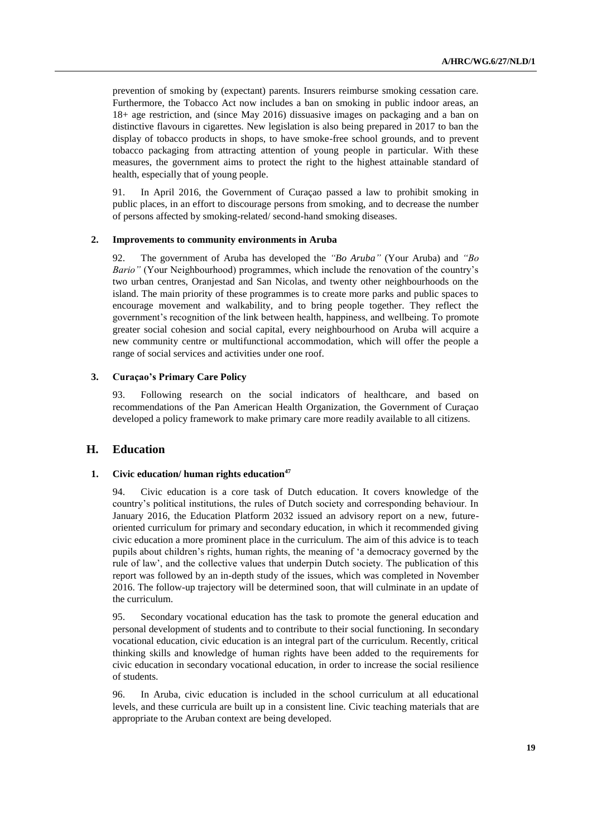prevention of smoking by (expectant) parents. Insurers reimburse smoking cessation care. Furthermore, the Tobacco Act now includes a ban on smoking in public indoor areas, an 18+ age restriction, and (since May 2016) dissuasive images on packaging and a ban on distinctive flavours in cigarettes. New legislation is also being prepared in 2017 to ban the display of tobacco products in shops, to have smoke-free school grounds, and to prevent tobacco packaging from attracting attention of young people in particular. With these measures, the government aims to protect the right to the highest attainable standard of health, especially that of young people.

91. In April 2016, the Government of Curaçao passed a law to prohibit smoking in public places, in an effort to discourage persons from smoking, and to decrease the number of persons affected by smoking-related/ second-hand smoking diseases.

#### **2. Improvements to community environments in Aruba**

92. The government of Aruba has developed the *"Bo Aruba"* (Your Aruba) and *"Bo Bario"* (Your Neighbourhood) programmes, which include the renovation of the country's two urban centres, Oranjestad and San Nicolas, and twenty other neighbourhoods on the island. The main priority of these programmes is to create more parks and public spaces to encourage movement and walkability, and to bring people together. They reflect the government's recognition of the link between health, happiness, and wellbeing. To promote greater social cohesion and social capital, every neighbourhood on Aruba will acquire a new community centre or multifunctional accommodation, which will offer the people a range of social services and activities under one roof.

### **3. Curaçao's Primary Care Policy**

93. Following research on the social indicators of healthcare, and based on recommendations of the Pan American Health Organization, the Government of Curaçao developed a policy framework to make primary care more readily available to all citizens.

## **H. Education**

### **1. Civic education/ human rights education<sup>47</sup>**

94. Civic education is a core task of Dutch education. It covers knowledge of the country's political institutions, the rules of Dutch society and corresponding behaviour. In January 2016, the Education Platform 2032 issued an advisory report on a new, futureoriented curriculum for primary and secondary education, in which it recommended giving civic education a more prominent place in the curriculum. The aim of this advice is to teach pupils about children's rights, human rights, the meaning of 'a democracy governed by the rule of law', and the collective values that underpin Dutch society. The publication of this report was followed by an in-depth study of the issues, which was completed in November 2016. The follow-up trajectory will be determined soon, that will culminate in an update of the curriculum.

95. Secondary vocational education has the task to promote the general education and personal development of students and to contribute to their social functioning. In secondary vocational education, civic education is an integral part of the curriculum. Recently, critical thinking skills and knowledge of human rights have been added to the requirements for civic education in secondary vocational education, in order to increase the social resilience of students.

96. In Aruba, civic education is included in the school curriculum at all educational levels, and these curricula are built up in a consistent line. Civic teaching materials that are appropriate to the Aruban context are being developed.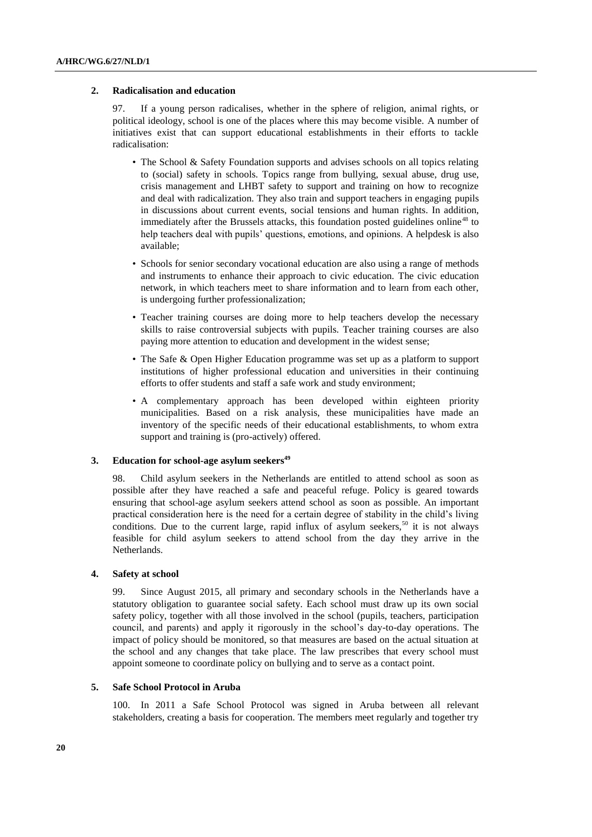#### **2. Radicalisation and education**

97. If a young person radicalises, whether in the sphere of religion, animal rights, or political ideology, school is one of the places where this may become visible. A number of initiatives exist that can support educational establishments in their efforts to tackle radicalisation:

- The School & Safety Foundation supports and advises schools on all topics relating to (social) safety in schools. Topics range from bullying, sexual abuse, drug use, crisis management and LHBT safety to support and training on how to recognize and deal with radicalization. They also train and support teachers in engaging pupils in discussions about current events, social tensions and human rights. In addition, immediately after the Brussels attacks, this foundation posted guidelines online<sup>48</sup> to help teachers deal with pupils' questions, emotions, and opinions. A helpdesk is also available;
- Schools for senior secondary vocational education are also using a range of methods and instruments to enhance their approach to civic education. The civic education network, in which teachers meet to share information and to learn from each other, is undergoing further professionalization;
- Teacher training courses are doing more to help teachers develop the necessary skills to raise controversial subjects with pupils. Teacher training courses are also paying more attention to education and development in the widest sense;
- The Safe & Open Higher Education programme was set up as a platform to support institutions of higher professional education and universities in their continuing efforts to offer students and staff a safe work and study environment;
- A complementary approach has been developed within eighteen priority municipalities. Based on a risk analysis, these municipalities have made an inventory of the specific needs of their educational establishments, to whom extra support and training is (pro-actively) offered.

#### **3. Education for school-age asylum seekers<sup>49</sup>**

98. Child asylum seekers in the Netherlands are entitled to attend school as soon as possible after they have reached a safe and peaceful refuge. Policy is geared towards ensuring that school-age asylum seekers attend school as soon as possible. An important practical consideration here is the need for a certain degree of stability in the child's living conditions. Due to the current large, rapid influx of asylum seekers,<sup>50</sup> it is not always feasible for child asylum seekers to attend school from the day they arrive in the Netherlands.

#### **4. Safety at school**

99. Since August 2015, all primary and secondary schools in the Netherlands have a statutory obligation to guarantee social safety. Each school must draw up its own social safety policy, together with all those involved in the school (pupils, teachers, participation council, and parents) and apply it rigorously in the school's day-to-day operations. The impact of policy should be monitored, so that measures are based on the actual situation at the school and any changes that take place. The law prescribes that every school must appoint someone to coordinate policy on bullying and to serve as a contact point.

#### **5. Safe School Protocol in Aruba**

100. In 2011 a Safe School Protocol was signed in Aruba between all relevant stakeholders, creating a basis for cooperation. The members meet regularly and together try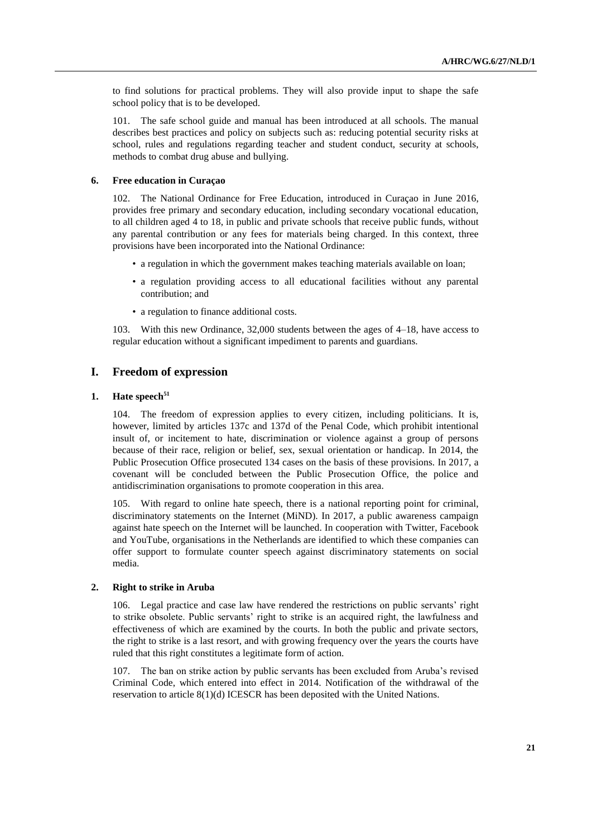to find solutions for practical problems. They will also provide input to shape the safe school policy that is to be developed.

101. The safe school guide and manual has been introduced at all schools. The manual describes best practices and policy on subjects such as: reducing potential security risks at school, rules and regulations regarding teacher and student conduct, security at schools, methods to combat drug abuse and bullying.

#### **6. Free education in Curaçao**

102. The National Ordinance for Free Education, introduced in Curaçao in June 2016, provides free primary and secondary education, including secondary vocational education, to all children aged 4 to 18, in public and private schools that receive public funds, without any parental contribution or any fees for materials being charged. In this context, three provisions have been incorporated into the National Ordinance:

- a regulation in which the government makes teaching materials available on loan;
- a regulation providing access to all educational facilities without any parental contribution; and
- a regulation to finance additional costs.

103. With this new Ordinance, 32,000 students between the ages of 4–18, have access to regular education without a significant impediment to parents and guardians.

# **I. Freedom of expression**

## **1. Hate speech<sup>51</sup>**

104. The freedom of expression applies to every citizen, including politicians. It is, however, limited by articles 137c and 137d of the Penal Code, which prohibit intentional insult of, or incitement to hate, discrimination or violence against a group of persons because of their race, religion or belief, sex, sexual orientation or handicap. In 2014, the Public Prosecution Office prosecuted 134 cases on the basis of these provisions. In 2017, a covenant will be concluded between the Public Prosecution Office, the police and antidiscrimination organisations to promote cooperation in this area.

105. With regard to online hate speech, there is a national reporting point for criminal, discriminatory statements on the Internet (MiND). In 2017, a public awareness campaign against hate speech on the Internet will be launched. In cooperation with Twitter, Facebook and YouTube, organisations in the Netherlands are identified to which these companies can offer support to formulate counter speech against discriminatory statements on social media.

### **2. Right to strike in Aruba**

106. Legal practice and case law have rendered the restrictions on public servants' right to strike obsolete. Public servants' right to strike is an acquired right, the lawfulness and effectiveness of which are examined by the courts. In both the public and private sectors, the right to strike is a last resort, and with growing frequency over the years the courts have ruled that this right constitutes a legitimate form of action.

107. The ban on strike action by public servants has been excluded from Aruba's revised Criminal Code, which entered into effect in 2014. Notification of the withdrawal of the reservation to article 8(1)(d) ICESCR has been deposited with the United Nations.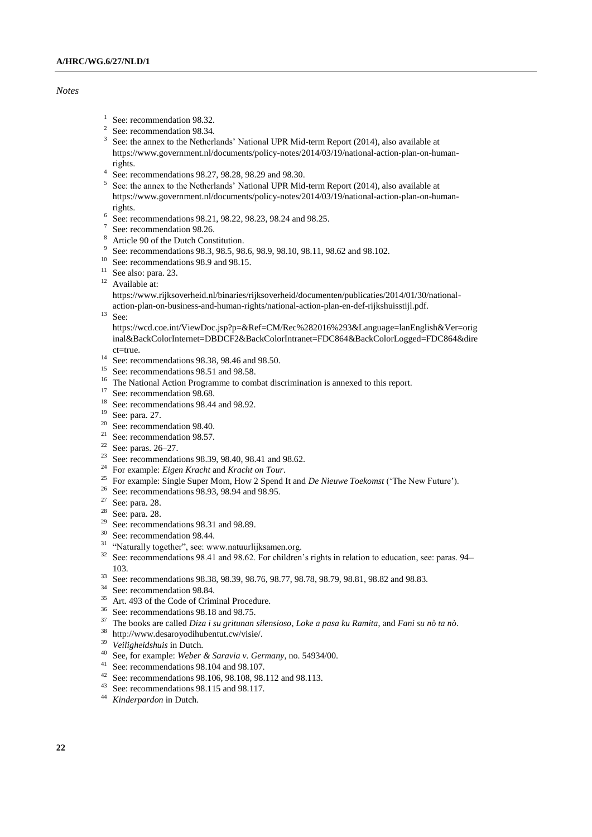#### *Notes*

- <sup>1</sup> See: recommendation 98.32.
- 2 See: recommendation 98.34.
- <sup>3</sup> See: the annex to the Netherlands' National UPR Mid-term Report (2014), also available at https://www.government.nl/documents/policy-notes/2014/03/19/national-action-plan-on-humanrights.
- 4 See: recommendations 98.27, 98.28, 98.29 and 98.30.
- 5 See: the annex to the Netherlands' National UPR Mid-term Report (2014), also available at https://www.government.nl/documents/policy-notes/2014/03/19/national-action-plan-on-humanrights.
- 6 See: recommendations 98.21, 98.22, 98.23, 98.24 and 98.25.
- 7 See: recommendation 98.26.
- Article 90 of the Dutch Constitution.
- 9 See: recommendations 98.3, 98.5, 98.6, 98.9, 98.10, 98.11, 98.62 and 98.102.
- <sup>10</sup> See: recommendations 98.9 and 98.15.
- <sup>11</sup> See also: para. 23.
- <sup>12</sup> Available at:

https://www.rijksoverheid.nl/binaries/rijksoverheid/documenten/publicaties/2014/01/30/national-

- action-plan-on-business-and-human-rights/national-action-plan-en-def-rijkshuisstijl.pdf.
- $13$  See:

https://wcd.coe.int/ViewDoc.jsp?p=&Ref=CM/Rec%282016%293&Language=lanEnglish&Ver=orig inal&BackColorInternet=DBDCF2&BackColorIntranet=FDC864&BackColorLogged=FDC864&dire ct=true.

- <sup>14</sup> See: recommendations 98.38, 98.46 and 98.50.
- <sup>15</sup> See: recommendations 98.51 and 98.58.
- <sup>16</sup> The National Action Programme to combat discrimination is annexed to this report.
- <sup>17</sup> See: recommendation 98.68.
- <sup>18</sup> See: recommendations 98.44 and 98.92.
- <sup>19</sup> See: para. 27.
- <sup>20</sup> See: recommendation 98.40.
- <sup>21</sup> See: recommendation 98.57.<br><sup>22</sup> See: name, 26.27
- See: paras. 26–27.
- <sup>23</sup> See: recommendations 98.39, 98.40, 98.41 and 98.62.
- <sup>24</sup> For example: *Eigen Kracht* and *Kracht on Tour*.
- <sup>25</sup> For example: Single Super Mom, How 2 Spend It and *De Nieuwe Toekomst* ('The New Future').
- <sup>26</sup> See: recommendations 98.93, 98.94 and 98.95.
- See: para. 28.
- <sup>28</sup> See: para. 28.
- $29$  See: recommendations 98.31 and 98.89.
- <sup>30</sup> See: recommendation 98.44.
- <sup>31</sup> "Naturally together", see: www.natuurlijksamen.org.
- <sup>32</sup> See: recommendations 98.41 and 98.62. For children's rights in relation to education, see: paras. 94– 103.
- <sup>33</sup> See: recommendations 98.38, 98.39, 98.76, 98.77, 98.78, 98.79, 98.81, 98.82 and 98.83.
- <sup>34</sup> See: recommendation 98.84.
- <sup>35</sup> Art. 493 of the Code of Criminal Procedure.
- <sup>36</sup> See: recommendations 98.18 and 98.75.
- <sup>37</sup> The books are called *Diza i su gritunan silensioso*, *Loke a pasa ku Ramita*, and *Fani su nò ta nò*.
- <sup>38</sup> http://www.desaroyodihubentut.cw/visie/.
- <sup>39</sup> *Veiligheidshuis* in Dutch.
- <sup>40</sup> See, for example: *Weber & Saravia v. Germany*, no. 54934/00.
- <sup>41</sup> See: recommendations 98.104 and 98.107.
- <sup>42</sup> See: recommendations 98.106, 98.108, 98.112 and 98.113.
- <sup>43</sup> See: recommendations 98.115 and 98.117.
- <sup>44</sup> *Kinderpardon* in Dutch.